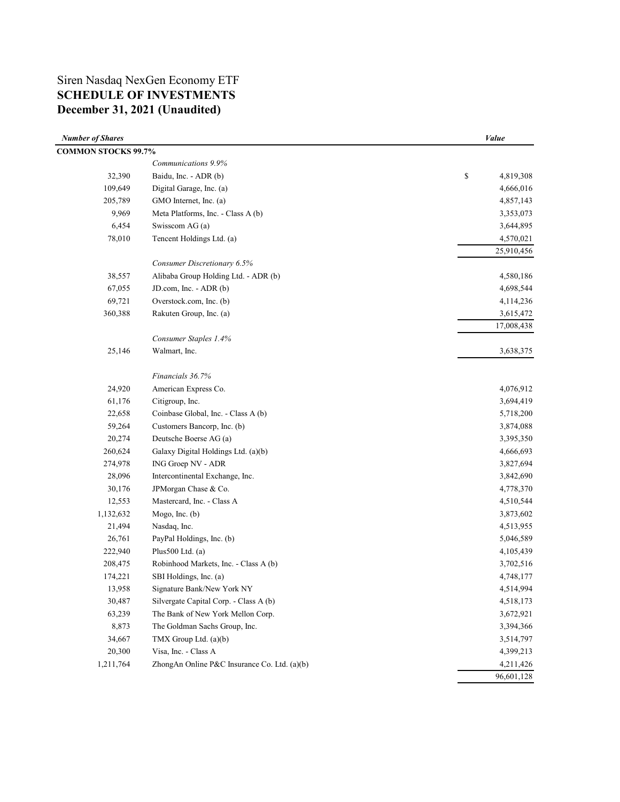# Siren Nasdaq NexGen Economy ETF **SCHEDULE OF INVESTMENTS December 31, 2021 (Unaudited)**

| <b>Number of Shares</b>    |                                              | <b>Value</b>    |
|----------------------------|----------------------------------------------|-----------------|
| <b>COMMON STOCKS 99.7%</b> |                                              |                 |
|                            | Communications 9.9%                          |                 |
| 32,390                     | Baidu, Inc. - ADR (b)                        | \$<br>4,819,308 |
| 109,649                    | Digital Garage, Inc. (a)                     | 4,666,016       |
| 205,789                    | GMO Internet, Inc. (a)                       | 4,857,143       |
| 9,969                      | Meta Platforms, Inc. - Class A (b)           | 3,353,073       |
| 6,454                      | Swisscom AG (a)                              | 3,644,895       |
| 78,010                     | Tencent Holdings Ltd. (a)                    | 4,570,021       |
|                            |                                              | 25,910,456      |
|                            | Consumer Discretionary 6.5%                  |                 |
| 38,557                     | Alibaba Group Holding Ltd. - ADR (b)         | 4,580,186       |
| 67,055                     | JD.com, Inc. - ADR (b)                       | 4,698,544       |
| 69,721                     | Overstock.com, Inc. (b)                      | 4,114,236       |
| 360,388                    | Rakuten Group, Inc. (a)                      | 3,615,472       |
|                            |                                              | 17,008,438      |
|                            | Consumer Staples 1.4%                        |                 |
| 25,146                     | Walmart, Inc.                                | 3,638,375       |
|                            |                                              |                 |
|                            | Financials 36.7%                             |                 |
| 24,920                     | American Express Co.                         | 4,076,912       |
| 61,176                     | Citigroup, Inc.                              | 3,694,419       |
| 22,658                     | Coinbase Global, Inc. - Class A (b)          | 5,718,200       |
| 59,264                     | Customers Bancorp, Inc. (b)                  | 3,874,088       |
| 20,274                     | Deutsche Boerse AG (a)                       | 3,395,350       |
| 260,624                    | Galaxy Digital Holdings Ltd. (a)(b)          | 4,666,693       |
| 274,978                    | ING Groep NV - ADR                           | 3,827,694       |
| 28,096                     | Intercontinental Exchange, Inc.              | 3,842,690       |
| 30,176                     | JPMorgan Chase & Co.                         | 4,778,370       |
| 12,553                     | Mastercard, Inc. - Class A                   | 4,510,544       |
| 1,132,632                  | Mogo, Inc. (b)                               | 3,873,602       |
| 21,494                     | Nasdaq, Inc.                                 | 4,513,955       |
| 26,761                     | PayPal Holdings, Inc. (b)                    | 5,046,589       |
| 222,940                    | Plus $500$ Ltd. (a)                          | 4,105,439       |
| 208,475                    | Robinhood Markets, Inc. - Class A (b)        | 3,702,516       |
| 174,221                    | SBI Holdings, Inc. (a)                       | 4,748,177       |
| 13,958                     | Signature Bank/New York NY                   | 4,514,994       |
| 30,487                     | Silvergate Capital Corp. - Class A (b)       | 4,518,173       |
| 63,239                     | The Bank of New York Mellon Corp.            | 3,672,921       |
| 8,873                      | The Goldman Sachs Group, Inc.                | 3,394,366       |
| 34,667                     | TMX Group Ltd. (a)(b)                        | 3,514,797       |
| 20,300                     | Visa, Inc. - Class A                         | 4,399,213       |
| 1,211,764                  | ZhongAn Online P&C Insurance Co. Ltd. (a)(b) | 4,211,426       |
|                            |                                              | 96,601,128      |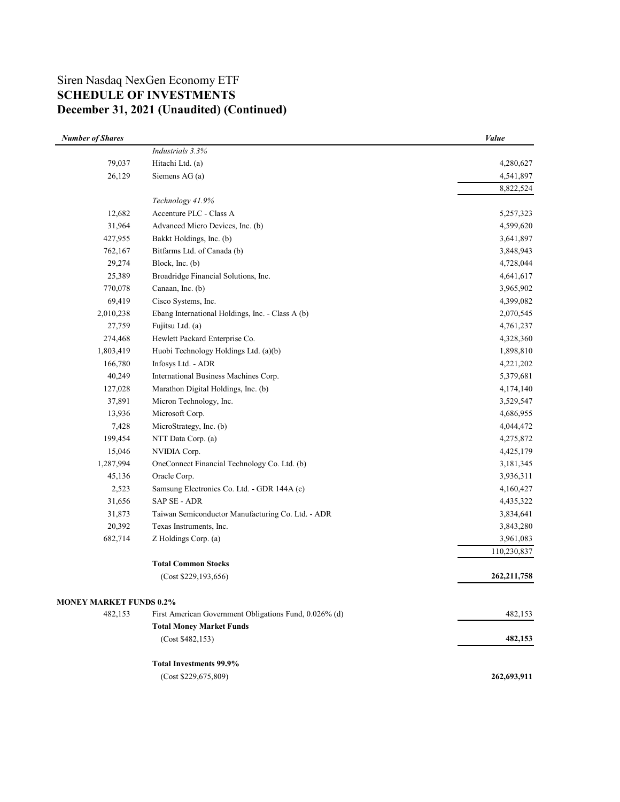# Siren Nasdaq NexGen Economy ETF **SCHEDULE OF INVESTMENTS December 31, 2021 (Unaudited) (Continued)**

| <b>Number of Shares</b>        |                                                        | <b>Value</b>  |
|--------------------------------|--------------------------------------------------------|---------------|
|                                | Industrials 3.3%                                       |               |
| 79,037                         | Hitachi Ltd. (a)                                       | 4,280,627     |
| 26,129                         | Siemens AG (a)                                         | 4,541,897     |
|                                |                                                        | 8,822,524     |
|                                | Technology 41.9%                                       |               |
| 12,682                         | Accenture PLC - Class A                                | 5,257,323     |
| 31,964                         | Advanced Micro Devices, Inc. (b)                       | 4,599,620     |
| 427,955                        | Bakkt Holdings, Inc. (b)                               | 3,641,897     |
| 762,167                        | Bitfarms Ltd. of Canada (b)                            | 3,848,943     |
| 29,274                         | Block, Inc. (b)                                        | 4,728,044     |
| 25,389                         | Broadridge Financial Solutions, Inc.                   | 4,641,617     |
| 770,078                        | Canaan, Inc. (b)                                       | 3,965,902     |
| 69,419                         | Cisco Systems, Inc.                                    | 4,399,082     |
| 2,010,238                      | Ebang International Holdings, Inc. - Class A (b)       | 2,070,545     |
| 27,759                         | Fujitsu Ltd. (a)                                       | 4,761,237     |
| 274,468                        | Hewlett Packard Enterprise Co.                         | 4,328,360     |
| 1,803,419                      | Huobi Technology Holdings Ltd. (a)(b)                  | 1,898,810     |
| 166,780                        | Infosys Ltd. - ADR                                     | 4,221,202     |
| 40,249                         | International Business Machines Corp.                  | 5,379,681     |
| 127,028                        | Marathon Digital Holdings, Inc. (b)                    | 4,174,140     |
| 37,891                         | Micron Technology, Inc.                                | 3,529,547     |
| 13,936                         | Microsoft Corp.                                        | 4,686,955     |
| 7,428                          | MicroStrategy, Inc. (b)                                | 4,044,472     |
| 199,454                        | NTT Data Corp. (a)                                     | 4,275,872     |
| 15,046                         | NVIDIA Corp.                                           | 4,425,179     |
| 1,287,994                      | OneConnect Financial Technology Co. Ltd. (b)           | 3,181,345     |
| 45,136                         | Oracle Corp.                                           | 3,936,311     |
| 2,523                          | Samsung Electronics Co. Ltd. - GDR 144A (c)            | 4,160,427     |
| 31,656                         | SAP SE - ADR                                           | 4,435,322     |
| 31,873                         | Taiwan Semiconductor Manufacturing Co. Ltd. - ADR      | 3,834,641     |
| 20,392                         | Texas Instruments, Inc.                                | 3,843,280     |
| 682,714                        | Z Holdings Corp. (a)                                   | 3,961,083     |
|                                |                                                        | 110,230,837   |
|                                | <b>Total Common Stocks</b>                             |               |
|                                | (Cost \$229,193,656)                                   | 262, 211, 758 |
|                                |                                                        |               |
| <b>MONEY MARKET FUNDS 0.2%</b> |                                                        |               |
| 482,153                        | First American Government Obligations Fund, 0.026% (d) | 482,153       |
|                                | <b>Total Money Market Funds</b>                        |               |
|                                | (Cost \$482,153)                                       | 482,153       |
|                                | <b>Total Investments 99.9%</b>                         |               |
|                                | (Cost \$229,675,809)                                   | 262,693,911   |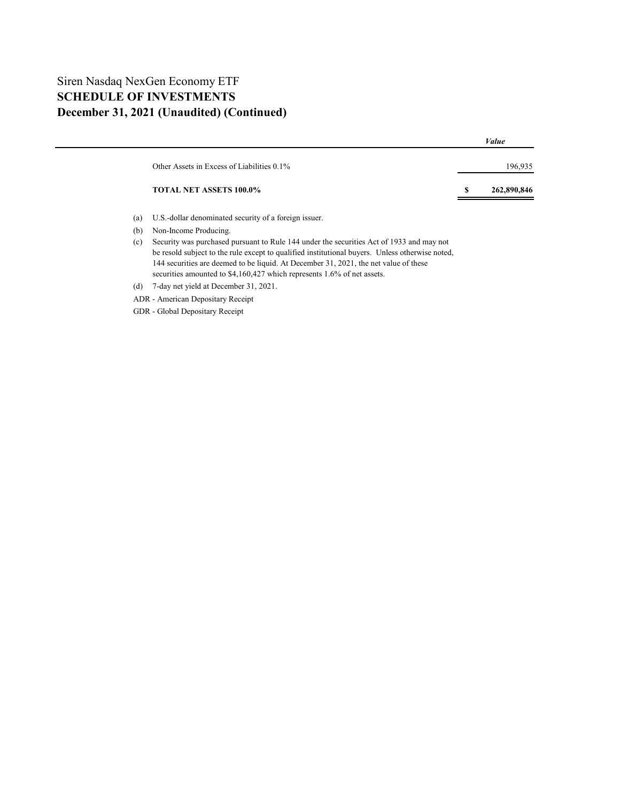## Siren Nasdaq NexGen Economy ETF **SCHEDULE OF INVESTMENTS December 31, 2021 (Unaudited) (Continued)**

|                                            | Value            |
|--------------------------------------------|------------------|
|                                            |                  |
| Other Assets in Excess of Liabilities 0.1% | 196.935          |
|                                            |                  |
| <b>TOTAL NET ASSETS 100.0%</b>             | 262,890,846<br>S |
|                                            |                  |

- (a) U.S.-dollar denominated security of a foreign issuer.
- (b) Non-Income Producing.
- (c) Security was purchased pursuant to Rule 144 under the securities Act of 1933 and may not be resold subject to the rule except to qualified institutional buyers. Unless otherwise noted, 144 securities are deemed to be liquid. At December 31, 2021, the net value of these securities amounted to \$4,160,427 which represents 1.6% of net assets.
- (d) 7-day net yield at December 31, 2021.
- ADR American Depositary Receipt
- GDR Global Depositary Receipt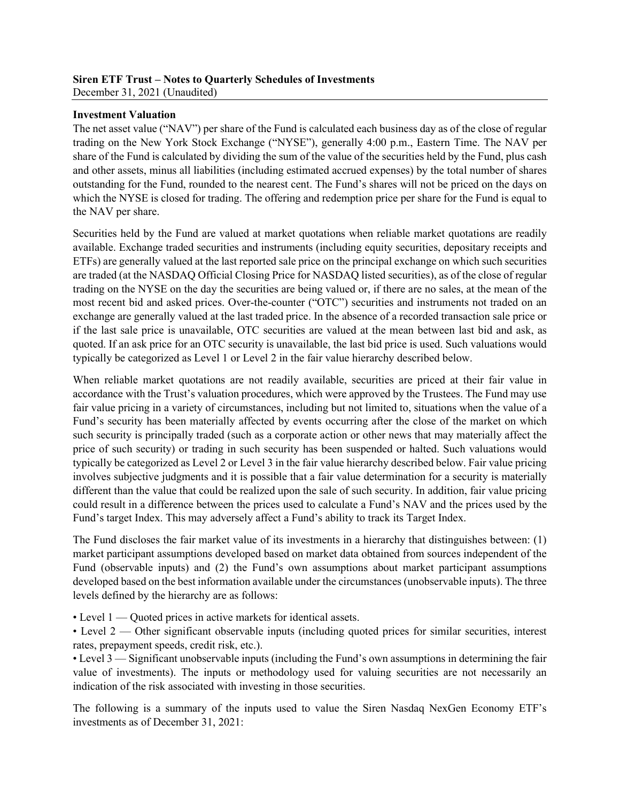#### **Siren ETF Trust – Notes to Quarterly Schedules of Investments** December 31, 2021 (Unaudited)

### **Investment Valuation**

The net asset value ("NAV") per share of the Fund is calculated each business day as of the close of regular trading on the New York Stock Exchange ("NYSE"), generally 4:00 p.m., Eastern Time. The NAV per share of the Fund is calculated by dividing the sum of the value of the securities held by the Fund, plus cash and other assets, minus all liabilities (including estimated accrued expenses) by the total number of shares outstanding for the Fund, rounded to the nearest cent. The Fund's shares will not be priced on the days on which the NYSE is closed for trading. The offering and redemption price per share for the Fund is equal to the NAV per share.

Securities held by the Fund are valued at market quotations when reliable market quotations are readily available. Exchange traded securities and instruments (including equity securities, depositary receipts and ETFs) are generally valued at the last reported sale price on the principal exchange on which such securities are traded (at the NASDAQ Official Closing Price for NASDAQ listed securities), as of the close of regular trading on the NYSE on the day the securities are being valued or, if there are no sales, at the mean of the most recent bid and asked prices. Over-the-counter ("OTC") securities and instruments not traded on an exchange are generally valued at the last traded price. In the absence of a recorded transaction sale price or if the last sale price is unavailable, OTC securities are valued at the mean between last bid and ask, as quoted. If an ask price for an OTC security is unavailable, the last bid price is used. Such valuations would typically be categorized as Level 1 or Level 2 in the fair value hierarchy described below.

When reliable market quotations are not readily available, securities are priced at their fair value in accordance with the Trust's valuation procedures, which were approved by the Trustees. The Fund may use fair value pricing in a variety of circumstances, including but not limited to, situations when the value of a Fund's security has been materially affected by events occurring after the close of the market on which such security is principally traded (such as a corporate action or other news that may materially affect the price of such security) or trading in such security has been suspended or halted. Such valuations would typically be categorized as Level 2 or Level 3 in the fair value hierarchy described below. Fair value pricing involves subjective judgments and it is possible that a fair value determination for a security is materially different than the value that could be realized upon the sale of such security. In addition, fair value pricing could result in a difference between the prices used to calculate a Fund's NAV and the prices used by the Fund's target Index. This may adversely affect a Fund's ability to track its Target Index.

The Fund discloses the fair market value of its investments in a hierarchy that distinguishes between: (1) market participant assumptions developed based on market data obtained from sources independent of the Fund (observable inputs) and (2) the Fund's own assumptions about market participant assumptions developed based on the best information available under the circumstances (unobservable inputs). The three levels defined by the hierarchy are as follows:

• Level 1 — Quoted prices in active markets for identical assets.

• Level 2 — Other significant observable inputs (including quoted prices for similar securities, interest rates, prepayment speeds, credit risk, etc.).

• Level 3 — Significant unobservable inputs (including the Fund's own assumptions in determining the fair value of investments). The inputs or methodology used for valuing securities are not necessarily an indication of the risk associated with investing in those securities.

The following is a summary of the inputs used to value the Siren Nasdaq NexGen Economy ETF's investments as of December 31, 2021: